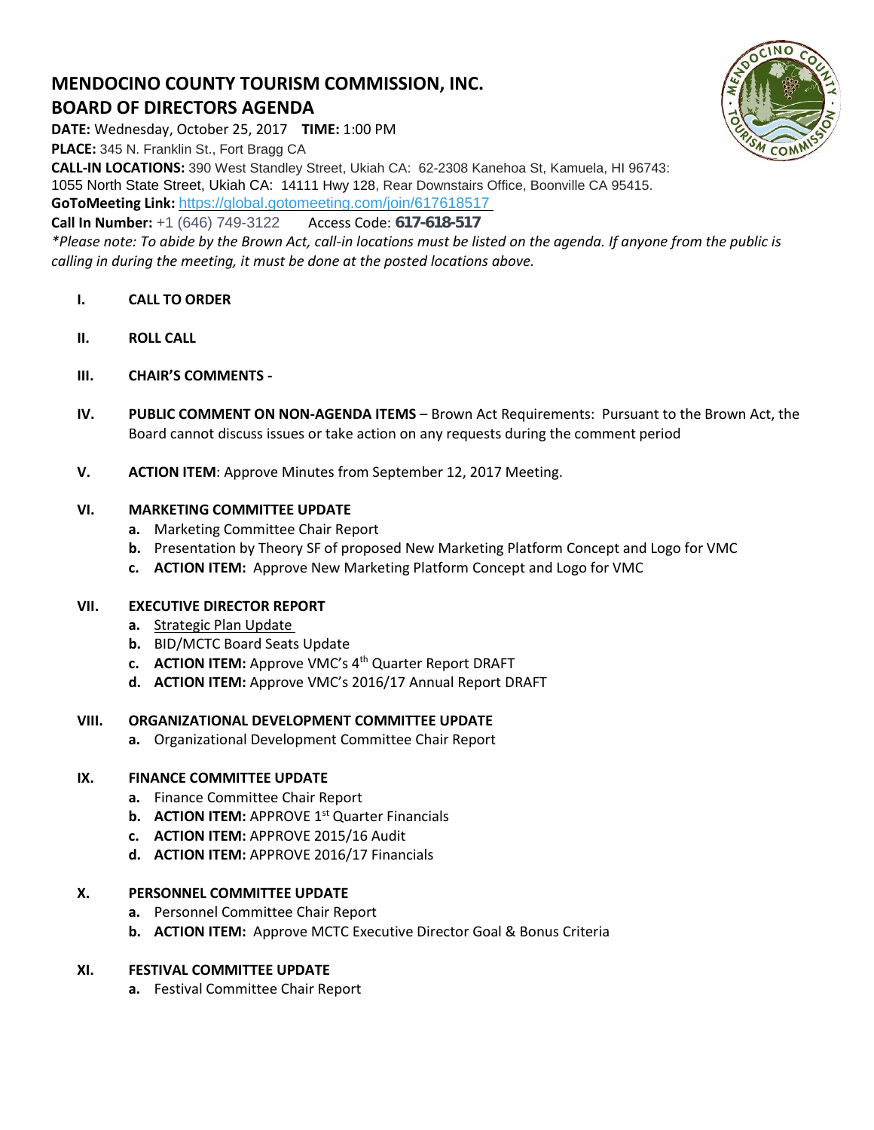# **MENDOCINO COUNTY TOURISM COMMISSION, INC. BOARD OF DIRECTORS AGENDA**



**DATE:** Wednesday, October 25, 2017 **TIME:** 1:00 PM **PLACE:** 345 N. Franklin St., Fort Bragg CA

**CALL-IN LOCATIONS:** 390 West Standley Street, Ukiah CA: 62-2308 Kanehoa St, Kamuela, HI 96743: 1055 North State Street, Ukiah CA: 14111 Hwy 128, Rear Downstairs Office, Boonville CA 95415. **GoToMeeting Link:** <https://global.gotomeeting.com/join/617618517>

**Call In Number:** +1 (646) 749-3122 Access Code: 617-618-517

*\*Please note: To abide by the Brown Act, call-in locations must be listed on the agenda. If anyone from the public is calling in during the meeting, it must be done at the posted locations above.*

- **I. CALL TO ORDER**
- **II. ROLL CALL**
- **III. CHAIR'S COMMENTS -**
- **IV. PUBLIC COMMENT ON NON-AGENDA ITEMS** Brown Act Requirements: Pursuant to the Brown Act, the Board cannot discuss issues or take action on any requests during the comment period
- **V. ACTION ITEM**: Approve Minutes from September 12, 2017 Meeting.

#### **VI. MARKETING COMMITTEE UPDATE**

- **a.** Marketing Committee Chair Report
- **b.** Presentation by Theory SF of proposed New Marketing Platform Concept and Logo for VMC
- **c. ACTION ITEM:** Approve New Marketing Platform Concept and Logo for VMC

#### **VII. EXECUTIVE DIRECTOR REPORT**

- **a.** [Strategic Plan Update](https://trello.com/b/fPWrmc5Z)
- **b.** BID/MCTC Board Seats Update
- **c. ACTION ITEM:** Approve VMC's 4 th Quarter Report DRAFT
- **d. ACTION ITEM:** Approve VMC's 2016/17 Annual Report DRAFT

#### **VIII. ORGANIZATIONAL DEVELOPMENT COMMITTEE UPDATE**

**a.** Organizational Development Committee Chair Report

#### **IX. FINANCE COMMITTEE UPDATE**

- **a.** Finance Committee Chair Report
- **b. ACTION ITEM:** APPROVE 1<sup>st</sup> Quarter Financials
- **c. ACTION ITEM:** APPROVE 2015/16 Audit
- **d. ACTION ITEM:** APPROVE 2016/17 Financials

#### **X. PERSONNEL COMMITTEE UPDATE**

- **a.** Personnel Committee Chair Report
- **b. ACTION ITEM:** Approve MCTC Executive Director Goal & Bonus Criteria

#### **XI. FESTIVAL COMMITTEE UPDATE**

**a.** Festival Committee Chair Report